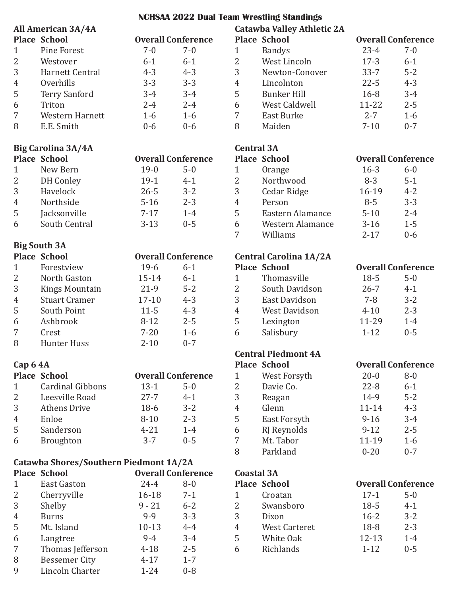# **NCHSAA 2022 Dual Team Wrestling Standings**

|                | All American 3A/4A                     |                           |         |                   | <b>Catawba Valley Athletic 2A</b> |                           |         |
|----------------|----------------------------------------|---------------------------|---------|-------------------|-----------------------------------|---------------------------|---------|
|                | <b>Place School</b>                    | <b>Overall Conference</b> |         |                   | <b>Place School</b>               | <b>Overall Conference</b> |         |
| $\mathbf{1}$   | <b>Pine Forest</b>                     | $7 - 0$                   | $7 - 0$ | $\mathbf{1}$      | <b>Bandys</b>                     | $23 - 4$                  | $7 - 0$ |
| $\overline{2}$ | Westover                               | $6 - 1$                   | $6 - 1$ | $\overline{2}$    | West Lincoln                      | $17-3$                    | $6 - 1$ |
| $\sqrt{3}$     | Harnett Central                        | $4 - 3$                   | $4 - 3$ | 3                 | Newton-Conover                    | $33 - 7$                  | $5 - 2$ |
| $\overline{4}$ | Overhills                              | $3 - 3$                   | $3 - 3$ | $\boldsymbol{4}$  | Lincolnton                        | $22 - 5$                  | $4 - 3$ |
| $\mathsf S$    | <b>Terry Sanford</b>                   | $3 - 4$                   | $3 - 4$ | 5                 | <b>Bunker Hill</b>                | $16 - 8$                  | $3 - 4$ |
| 6              | Triton                                 | $2 - 4$                   | $2 - 4$ | 6                 | West Caldwell                     | $11 - 22$                 | $2 - 5$ |
| $\overline{7}$ | Western Harnett                        | $1-6$                     | $1-6$   | $\overline{7}$    | East Burke                        | $2 - 7$                   | $1-6$   |
| 8              | E.E. Smith                             | $0 - 6$                   | $0 - 6$ | 8                 | Maiden                            | $7 - 10$                  | $0 - 7$ |
|                | <b>Big Carolina 3A/4A</b>              |                           |         | <b>Central 3A</b> |                                   |                           |         |
|                | <b>Place School</b>                    | <b>Overall Conference</b> |         |                   | <b>Place School</b>               | <b>Overall Conference</b> |         |
| $\mathbf{1}$   | New Bern                               | $19-0$                    | $5 - 0$ | $\mathbf{1}$      | Orange                            | $16-3$                    | $6 - 0$ |
| $\overline{2}$ | <b>DH</b> Conley                       | $19-1$                    | $4 - 1$ | $\overline{2}$    | Northwood                         | $8 - 3$                   | $5 - 1$ |
| 3              | Havelock                               | $26 - 5$                  | $3 - 2$ | 3                 | Cedar Ridge                       | 16-19                     | $4 - 2$ |
| $\overline{4}$ | Northside                              | $5 - 16$                  | $2 - 3$ | $\overline{4}$    | Person                            | $8 - 5$                   | $3 - 3$ |
| 5              | Jacksonville                           | $7 - 17$                  | $1 - 4$ | 5                 | Eastern Alamance                  | $5 - 10$                  | $2 - 4$ |
| 6              | South Central                          | $3 - 13$                  | $0 - 5$ | 6                 | Western Alamance                  | $3-16$                    | $1 - 5$ |
|                |                                        |                           |         | 7                 | Williams                          | $2 - 17$                  | $0 - 6$ |
|                | <b>Big South 3A</b>                    |                           |         |                   |                                   |                           |         |
|                | <b>Place School</b>                    | <b>Overall Conference</b> |         |                   | <b>Central Carolina 1A/2A</b>     |                           |         |
| $\mathbf{1}$   | Forestview                             | $19-6$                    | $6 - 1$ |                   | <b>Place School</b>               | <b>Overall Conference</b> |         |
| $\overline{2}$ | North Gaston                           | $15 - 14$                 | $6 - 1$ | $\mathbf{1}$      | Thomasville                       | $18-5$                    | $5 - 0$ |
| $\sqrt{3}$     | <b>Kings Mountain</b>                  | $21-9$                    | $5 - 2$ | $\overline{2}$    | South Davidson                    | $26 - 7$                  | $4 - 1$ |
| $\overline{4}$ | <b>Stuart Cramer</b>                   | $17 - 10$                 | $4 - 3$ | 3                 | East Davidson                     | $7 - 8$                   | $3 - 2$ |
| 5              | South Point                            | $11 - 5$                  | $4 - 3$ | $\overline{4}$    | <b>West Davidson</b>              | $4 - 10$                  | $2 - 3$ |
| 6              | Ashbrook                               | $8 - 12$                  | $2 - 5$ | 5                 | Lexington                         | 11-29                     | $1-4$   |
| $\overline{7}$ | Crest                                  | $7 - 20$                  | $1-6$   | 6                 | Salisbury                         | $1 - 12$                  | $0 - 5$ |
| 8              | <b>Hunter Huss</b>                     | $2 - 10$                  | $0 - 7$ |                   |                                   |                           |         |
|                |                                        |                           |         |                   | <b>Central Piedmont 4A</b>        |                           |         |
| Cap 64A        |                                        |                           |         |                   | <b>Place School</b>               | <b>Overall Conference</b> |         |
|                | <b>Place School</b>                    | <b>Overall Conference</b> |         | $\mathbf{1}$      | West Forsyth                      | $20 - 0$                  | $8-0$   |
| $\mathbf{1}$   | <b>Cardinal Gibbons</b>                | $13 - 1$                  | $5 - 0$ | 2                 | Davie Co.                         | $22 - 8$                  | $6 - 1$ |
| $\overline{2}$ | Leesville Road                         | $27 - 7$                  | $4 - 1$ | 3                 | Reagan                            | 14-9                      | $5 - 2$ |
| $\mathfrak{Z}$ | <b>Athens Drive</b>                    | $18-6$                    | $3 - 2$ | $\overline{4}$    | Glenn                             | $11 - 14$                 | $4 - 3$ |
| $\overline{4}$ | Enloe                                  | $8 - 10$                  | $2 - 3$ | 5                 | East Forsyth                      | $9 - 16$                  | $3 - 4$ |
| 5              | Sanderson                              | $4 - 21$                  | $1-4$   | 6                 | RJ Reynolds                       | $9 - 12$                  | $2 - 5$ |
| 6              | Broughton                              | $3 - 7$                   | $0 - 5$ | 7                 | Mt. Tabor                         | 11-19                     | $1-6$   |
|                |                                        |                           |         | 8                 | Parkland                          | $0 - 20$                  | $0 - 7$ |
|                | Catawba Shores/Southern Piedmont 1A/2A |                           |         |                   |                                   |                           |         |
|                | <b>Place School</b>                    | <b>Overall Conference</b> |         | <b>Coastal 3A</b> |                                   |                           |         |
| $\mathbf{1}$   | <b>East Gaston</b>                     | $24 - 4$                  | $8-0$   |                   | <b>Place School</b>               | <b>Overall Conference</b> |         |
| 2              | Cherryville                            | $16 - 18$                 | $7 - 1$ | $\mathbf{1}$      | Croatan                           | $17-1$                    | $5 - 0$ |
| $\sqrt{3}$     | Shelby                                 | $9 - 21$                  | $6 - 2$ | $\overline{2}$    | Swansboro                         | $18-5$                    | $4 - 1$ |
| $\overline{4}$ | <b>Burns</b>                           | $9 - 9$                   | $3 - 3$ | 3                 | Dixon                             | $16 - 2$                  | $3 - 2$ |
| 5              | Mt. Island                             | $10-13$                   | $4 - 4$ | $\overline{4}$    | <b>West Carteret</b>              | 18-8                      | $2 - 3$ |
| 6              | Langtree                               | $9 - 4$                   | $3 - 4$ | 5                 | White Oak                         | $12 - 13$                 | $1-4$   |
| 7              | Thomas Jefferson                       | $4 - 18$                  | $2 - 5$ | 6                 | Richlands                         | $1 - 12$                  | $0 - 5$ |
| 8              | <b>Bessemer City</b>                   | $4 - 17$                  | $1 - 7$ |                   |                                   |                           |         |
| 9              | Lincoln Charter                        | $1 - 24$                  | $0 - 8$ |                   |                                   |                           |         |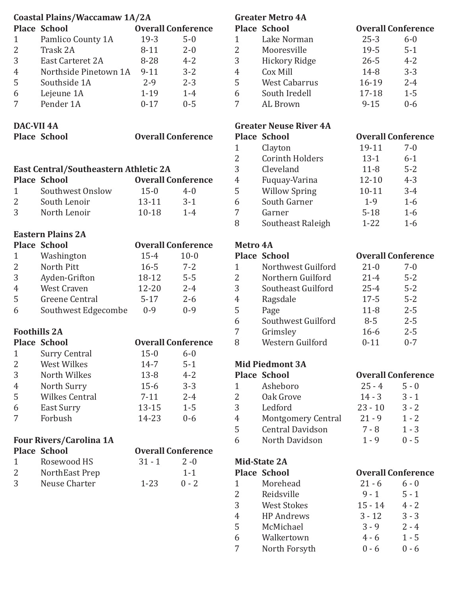|                   | Coastal Plains/Waccamaw 1A/2A                   |           |                           |                | <b>Greater Metr</b>        |
|-------------------|-------------------------------------------------|-----------|---------------------------|----------------|----------------------------|
|                   | <b>Place School</b>                             |           | <b>Overall Conference</b> |                | Place Schoo                |
| $\mathbf{1}$      | Pamlico County 1A                               | $19-3$    | $5 - 0$                   | $\mathbf{1}$   | Lake N                     |
| $\overline{2}$    | Trask 2A                                        | $8 - 11$  | $2 - 0$                   | $\overline{2}$ | Moore                      |
| 3                 | East Carteret 2A                                | 8-28      | $4 - 2$                   | 3              | Hickor                     |
| $\overline{4}$    | Northside Pinetown 1A                           | $9 - 11$  | $3 - 2$                   | $\overline{4}$ | Cox Mi                     |
| 5                 | Southside 1A                                    | $2 - 9$   | $2 - 3$                   | 5              | West C                     |
| 6                 | Lejeune 1A                                      | $1 - 19$  | $1 - 4$                   | 6              | South 1                    |
| 7                 | Pender 1A                                       | $0 - 17$  | $0 - 5$                   | 7              | AL Bro                     |
| <b>DAC-VII 4A</b> |                                                 |           |                           |                | <b>Greater Neus</b>        |
|                   | <b>Place School</b>                             |           | <b>Overall Conference</b> |                | Place Schoo                |
|                   |                                                 |           |                           | $\mathbf{1}$   | Clayto                     |
|                   |                                                 |           |                           | $\overline{2}$ | Corint                     |
|                   | East Central/Southeastern Athletic 2A           |           |                           | 3              | Clevela                    |
|                   | <b>Place School</b>                             |           | <b>Overall Conference</b> | $\overline{4}$ | Fuquay                     |
| $\mathbf{1}$      | Southwest Onslow                                | $15 - 0$  | $4 - 0$                   | 5              | Willow                     |
| $\overline{2}$    | South Lenoir                                    | $13 - 11$ | $3-1$                     | 6              | South                      |
| 3                 | North Lenoir                                    | $10 - 18$ | $1-4$                     | 7              | Garner                     |
|                   |                                                 |           |                           | 8              | Southe                     |
|                   | <b>Eastern Plains 2A</b><br><b>Place School</b> |           | <b>Overall Conference</b> | Metro 4A       |                            |
| $\mathbf{1}$      |                                                 | $15 - 4$  | $10 - 0$                  |                | Place School               |
| $\overline{2}$    | Washington<br>North Pitt                        | $16 - 5$  | $7 - 2$                   | $\mathbf{1}$   | Northy                     |
| 3                 |                                                 | 18-12     | $5 - 5$                   | $\overline{2}$ | Northe                     |
|                   | Ayden-Grifton<br>West Craven                    |           |                           | 3              |                            |
| $\overline{4}$    |                                                 | 12-20     | $2 - 4$                   |                | Southe                     |
| 5                 | Greene Central                                  | $5 - 17$  | $2 - 6$                   | $\overline{4}$ | Ragsda                     |
| 6                 | Southwest Edgecombe                             | $0 - 9$   | $0 - 9$                   | 5              | Page                       |
|                   |                                                 |           |                           | 6              | Southy                     |
|                   | <b>Foothills 2A</b>                             |           |                           | 7              | Grimsl                     |
|                   | <b>Place School</b>                             |           | <b>Overall Conference</b> | 8              | Wester                     |
| $\mathbf{1}$      | <b>Surry Central</b>                            | $15 - 0$  | $6 - 0$                   |                |                            |
| $\overline{2}$    | <b>West Wilkes</b>                              | $14 - 7$  | $5 - 1$                   |                | <b>Mid Piedmor</b>         |
| 3                 | North Wilkes                                    | $13 - 8$  | $4 - 2$                   |                | Place Schoo                |
| $\overline{4}$    | North Surry                                     | $15-6$    | $3 - 3$                   | $\mathbf{1}$   | Asheb                      |
| 5                 | <b>Wilkes Central</b>                           | $7 - 11$  | $2 - 4$                   | $\overline{2}$ | Oak Gr                     |
| 6                 | East Surry                                      | $13 - 15$ | $1 - 5$                   | 3              | Ledfor                     |
| 7                 | Forbush                                         | 14-23     | $0 - 6$                   | 4              | Montg                      |
|                   |                                                 |           |                           | 5              | Centra                     |
|                   | <b>Four Rivers/Carolina 1A</b>                  |           |                           | 6              | North                      |
|                   | <b>Place School</b>                             |           | <b>Overall Conference</b> |                |                            |
| $\mathbf{1}$      | Rosewood HS                                     | $31 - 1$  | $2 - 0$                   |                | <b>Mid-State 2A</b>        |
| $\overline{2}$    | NorthEast Prep                                  |           | $1 - 1$                   |                | Place Schoo                |
| 3                 | Neuse Charter                                   | $1 - 23$  | $0 - 2$                   | $\mathbf{1}$   | Moreh                      |
|                   |                                                 |           |                           | $\overline{2}$ | Reidsv                     |
|                   |                                                 |           |                           | 3              | West S                     |
|                   |                                                 |           |                           | 4              | HP And                     |
|                   |                                                 |           |                           |                | <b>M</b> . MA <sup>.</sup> |

|                 | <b>Greater Metro 4A</b>       |                           |         |
|-----------------|-------------------------------|---------------------------|---------|
|                 | <b>Place School</b>           | <b>Overall Conference</b> |         |
| 1               | Lake Norman                   | $25 - 3$                  | $6 - 0$ |
| 2               | Mooresville                   | $19 - 5$                  | $5 - 1$ |
| 3               | <b>Hickory Ridge</b>          | $26 - 5$                  | $4 - 2$ |
| $\overline{4}$  | Cox Mill                      | 14-8                      | $3 - 3$ |
| 5               | <b>West Cabarrus</b>          | $16-19$                   | $2 - 4$ |
| 6               | South Iredell                 | 17-18                     | $1-5$   |
| 7               | AL Brown                      | $9 - 15$                  | $0 - 6$ |
|                 | <b>Greater Neuse River 4A</b> |                           |         |
|                 | <b>Place School</b>           | <b>Overall Conference</b> |         |
| 1               | Clayton                       | 19-11                     | $7 - 0$ |
| 2               | <b>Corinth Holders</b>        | $13 - 1$                  | $6 - 1$ |
| 3               | Cleveland                     | $11 - 8$                  | $5 - 2$ |
| $\overline{4}$  | Fuquay-Varina                 | $12 - 10$                 | $4 - 3$ |
| 5               | <b>Willow Spring</b>          | $10 - 11$                 | $3-4$   |
| 6               | South Garner                  | $1-9$                     | $1-6$   |
| 7               | Garner                        | $5 - 18$                  | $1-6$   |
| 8               | Southeast Raleigh             | $1 - 22$                  | $1 - 6$ |
|                 |                               |                           |         |
| <b>Metro 4A</b> |                               |                           |         |
|                 | <b>Place School</b>           | <b>Overall Conference</b> |         |
| 1               | Northwest Guilford            | $21 - 0$                  | $7 - 0$ |
| 2               | Northern Guilford             | $21 - 4$                  | $5 - 2$ |
| 3               | Southeast Guilford            | $25 - 4$                  | $5 - 2$ |
| $\overline{4}$  | Ragsdale                      | $17 - 5$                  | $5 - 2$ |
| 5               | Page                          | $11 - 8$                  | $2 - 5$ |
| 6               | Southwest Guilford            | $8 - 5$                   | $2 - 5$ |
| 7               | Grimsley                      | $16 - 6$                  | $2 - 5$ |
| 8               | Western Guilford              | $0 - 11$                  | $0 - 7$ |
|                 | <b>Mid Piedmont 3A</b>        |                           |         |
|                 | <b>Place School</b>           | <b>Overall Conference</b> |         |
| $\mathbf{1}$    | Asheboro                      | $25 - 4$                  | $5 - 0$ |
| $\overline{2}$  | Oak Grove                     | $14 - 3$                  | $3 - 1$ |
| 3               | Ledford                       | $23 - 10$                 | $3 - 2$ |
| $\overline{4}$  | <b>Montgomery Central</b>     | $21 - 9$                  | $1 - 2$ |
| 5               | <b>Central Davidson</b>       | $7 - 8$                   | $1 - 3$ |
| 6               | North Davidson                | $1 - 9$                   | $0 - 5$ |
|                 | Mid-State 2A                  |                           |         |
|                 | <b>Place School</b>           | <b>Overall Conference</b> |         |
| 1               | Morehead                      | $21 - 6$                  | $6 - 0$ |
| $\overline{2}$  | Reidsville                    | $9 - 1$                   | $5 - 1$ |
| 3               | <b>West Stokes</b>            | $15 - 14$                 | $4 - 2$ |
| $\overline{4}$  | <b>HP</b> Andrews             | $3 - 12$                  | $3 - 3$ |
| 5               | McMichael                     | $3 - 9$                   | $2 - 4$ |
| 6               | Walkertown                    | $4 - 6$                   | $1 - 5$ |
| 7               | North Forsyth                 | $0 - 6$                   | $0 - 6$ |
|                 |                               |                           |         |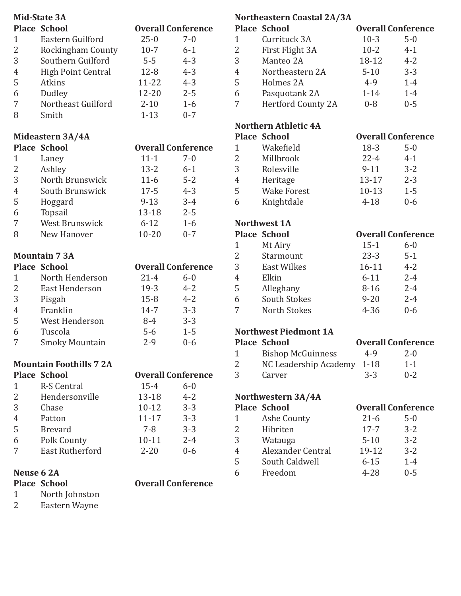|                | <b>Mid-State 3A</b>                                  |           |                           |
|----------------|------------------------------------------------------|-----------|---------------------------|
|                | <b>Place School</b>                                  |           | <b>Overall Conference</b> |
| $\mathbf{1}$   | Eastern Guilford                                     | $25 - 0$  | $7 - 0$                   |
| $\overline{2}$ | Rockingham County                                    | $10-7$    | $6 - 1$                   |
| 3              | Southern Guilford                                    | $5-5$     | $4 - 3$                   |
| $\overline{4}$ | <b>High Point Central</b>                            | $12 - 8$  | $4 - 3$                   |
| 5              | <b>Atkins</b>                                        | 11-22     | $4 - 3$                   |
| 6              | Dudley                                               | 12-20     | $2 - 5$                   |
| 7              | Northeast Guilford                                   | $2 - 10$  | $1-6$                     |
| 8              | Smith                                                | $1 - 13$  | $0 - 7$                   |
|                | Mideastern 3A/4A                                     |           |                           |
|                | <b>Place School</b>                                  |           | <b>Overall Conference</b> |
| 1              | Laney                                                | $11 - 1$  | $7 - 0$                   |
| 2              | Ashley                                               | $13 - 2$  | $6 - 1$                   |
| 3              | North Brunswick                                      | $11-6$    | $5 - 2$                   |
| $\overline{4}$ | South Brunswick                                      | $17 - 5$  | $4 - 3$                   |
| 5              | Hoggard                                              | $9 - 13$  | $3 - 4$                   |
| 6              | Topsail                                              | 13-18     | $2 - 5$                   |
| 7              | <b>West Brunswick</b>                                | $6 - 12$  | $1-6$                     |
| 8              | New Hanover                                          | $10 - 20$ | $0 - 7$                   |
|                | <b>Mountain 73A</b>                                  |           |                           |
|                | <b>Place School</b>                                  |           | <b>Overall Conference</b> |
| $\mathbf{1}$   | North Henderson                                      | $21 - 4$  | $6 - 0$                   |
| 2              | <b>East Henderson</b>                                | $19-3$    | $4 - 2$                   |
| 3              | Pisgah                                               | $15 - 8$  | $4 - 2$                   |
| 4              | Franklin                                             | $14 - 7$  | $3 - 3$                   |
| 5              | West Henderson                                       | $8-4$     | $3 - 3$                   |
| 6              | Tuscola                                              | $5-6$     | $1 - 5$                   |
| 7              | <b>Smoky Mountain</b>                                | $2 - 9$   | $0 - 6$                   |
|                |                                                      |           |                           |
|                | <b>Mountain Foothills 72A</b><br><b>Place School</b> |           | <b>Overall Conference</b> |
| 1              | <b>R-S Central</b>                                   | $15 - 4$  | $6 - 0$                   |
| $\overline{2}$ | Hendersonville                                       | 13-18     | $4 - 2$                   |
| 3              | Chase                                                | $10 - 12$ | $3 - 3$                   |
| 4              | Patton                                               | $11 - 17$ | $3 - 3$                   |
| 5              | <b>Brevard</b>                                       | 7-8       | $3 - 3$                   |
| 6              |                                                      | $10 - 11$ | $2 - 4$                   |
|                |                                                      |           |                           |
|                | Polk County                                          |           |                           |
| 7              | <b>East Rutherford</b>                               | $2 - 20$  | $0 - 6$                   |
|                | Neuse 6 2A<br><b>Place School</b>                    |           | <b>Overall Conference</b> |

1 North Johnston<br>2 Eastern Wayne Eastern Wayne

|                | <b>Place School</b>          |           | <b>Overall Conference</b> |
|----------------|------------------------------|-----------|---------------------------|
| $\mathbf{1}$   | Currituck 3A                 | $10-3$    | $5 - 0$                   |
| $\overline{2}$ | First Flight 3A              | $10 - 2$  | $4 - 1$                   |
| 3              | Manteo 2A                    | 18-12     | $4 - 2$                   |
| $\overline{4}$ | Northeastern 2A              | $5 - 10$  | $3 - 3$                   |
| 5              | Holmes 2A                    | 4-9       | $1-4$                     |
| 6              | Pasquotank 2A                | $1 - 14$  | $1 - 4$                   |
| 7              | <b>Hertford County 2A</b>    | $0 - 8$   | $0 - 5$                   |
|                | <b>Northern Athletic 4A</b>  |           |                           |
|                | <b>Place School</b>          |           | <b>Overall Conference</b> |
| 1              | Wakefield                    | $18-3$    | $5 - 0$                   |
| $\overline{2}$ | Millbrook                    | $22 - 4$  | $4 - 1$                   |
| 3              | Rolesville                   | $9-11$    | $3 - 2$                   |
| $\overline{4}$ | Heritage                     | $13-17$   | $2 - 3$                   |
| 5              | <b>Wake Forest</b>           | $10 - 13$ | $1 - 5$                   |
| 6              | Knightdale                   | $4 - 18$  | $0 - 6$                   |
|                | <b>Northwest 1A</b>          |           |                           |
|                | <b>Place School</b>          |           | <b>Overall Conference</b> |
| $\mathbf{1}$   | Mt Airy                      | $15 - 1$  | $6 - 0$                   |
| $\overline{2}$ | Starmount                    | $23 - 3$  | $5 - 1$                   |
| 3              | <b>East Wilkes</b>           | $16 - 11$ | $4 - 2$                   |
| $\overline{4}$ | Elkin                        | $6 - 11$  | $2 - 4$                   |
| 5              | Alleghany                    | $8 - 16$  | $2 - 4$                   |
| 6              | <b>South Stokes</b>          | $9 - 20$  | $2 - 4$                   |
| 7              | <b>North Stokes</b>          | $4 - 36$  | $0 - 6$                   |
|                | <b>Northwest Piedmont 1A</b> |           |                           |
|                | <b>Place School</b>          |           | <b>Overall Conference</b> |
| $\mathbf{1}$   | <b>Bishop McGuinness</b>     | $4 - 9$   | $2 - 0$                   |
| n<br>2         | NC Leadership Academy        | $1 - 18$  | $1 - 1$                   |
| 3              | Carver                       | $3 - 3$   | $0 - 2$                   |
|                | Northwestern 3A/4A           |           |                           |
|                | <b>Place School</b>          |           | <b>Overall Conference</b> |
| $\mathbf{1}$   | Ashe County                  | $21-6$    | $5 - 0$                   |
| $\overline{c}$ | Hibriten                     | $17 - 7$  | $3 - 2$                   |
| 3              | Watauga                      | $5 - 10$  | $3 - 2$                   |
| $\overline{4}$ | Alexander Central            | 19-12     | $3 - 2$                   |
| 5              | South Caldwell               | $6 - 15$  | $1 - 4$                   |
| 6              | Freedom                      | $4 - 28$  | $0 - 5$                   |

**Northeastern Coastal 2A/3A**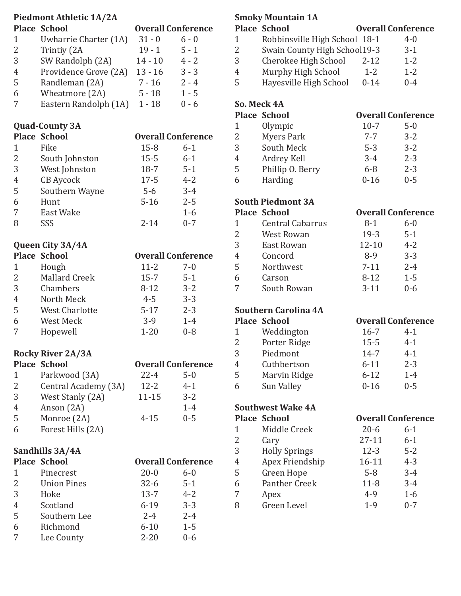|                | <b>Piedmont Athletic 1A/2A</b><br><b>Place School</b> |           | <b>Overall Conference</b> |
|----------------|-------------------------------------------------------|-----------|---------------------------|
| $\mathbf{1}$   | Uwharrie Charter (1A)                                 | $31 - 0$  | $6 - 0$                   |
| 2              | Trintiy (2A                                           | $19 - 1$  | $5 - 1$                   |
| 3              |                                                       | $14 - 10$ | $4 - 2$                   |
|                | SW Randolph (2A)                                      |           |                           |
| 4              | Providence Grove (2A) 13 - 16                         |           | $3 - 3$                   |
| 5              | Randleman (2A)                                        | $7 - 16$  | $2 - 4$                   |
| 6              | Wheatmore (2A)                                        | $5 - 18$  | $1 - 5$                   |
| 7              | Eastern Randolph (1A) 1 - 18                          |           | $0 - 6$                   |
|                | <b>Quad-County 3A</b>                                 |           |                           |
|                | <b>Place School</b>                                   |           | <b>Overall Conference</b> |
| 1              | Fike                                                  | $15 - 8$  | $6 - 1$                   |
| 2              | South Johnston                                        | $15 - 5$  | $6-1$                     |
| 3              | West Johnston                                         | $18-7$    | $5 - 1$                   |
| 4              | <b>CB</b> Aycock                                      | $17 - 5$  | $4 - 2$                   |
| 5              | Southern Wayne                                        | $5-6$     | $3 - 4$                   |
| 6              | Hunt                                                  | $5 - 16$  | $2 - 5$                   |
| 7              | <b>East Wake</b>                                      |           | $1-6$                     |
| 8              | SSS                                                   | $2 - 14$  | $0 - 7$                   |
|                | Queen City 3A/4A                                      |           |                           |
|                | <b>Place School</b>                                   |           | <b>Overall Conference</b> |
| 1              | Hough                                                 | $11 - 2$  | 7-0                       |
| $\overline{2}$ | <b>Mallard Creek</b>                                  | $15 - 7$  | $5 - 1$                   |
| 3              | Chambers                                              | $8 - 12$  | $3 - 2$                   |
| $\overline{4}$ | North Meck                                            | $4 - 5$   | $3 - 3$                   |
| 5              | <b>West Charlotte</b>                                 | $5 - 17$  | $2 - 3$                   |
| 6              | West Meck                                             | $3-9$     | $1 - 4$                   |
| 7              | Hopewell                                              | $1 - 20$  | $0 - 8$                   |
|                |                                                       |           |                           |
|                | <b>Rocky River 2A/3A</b><br><b>Place School</b>       |           | <b>Overall Conference</b> |
| $\mathbf{1}$   | Parkwood (3A)                                         | $22 - 4$  | $5 - 0$                   |
| $\overline{2}$ | Central Academy (3A)                                  | $12 - 2$  | $4 - 1$                   |
| 3              | West Stanly (2A)                                      | $11 - 15$ | $3 - 2$                   |
| 4              | Anson (2A)                                            |           | $1-4$                     |
| 5              | Monroe (2A)                                           | $4 - 15$  | $0 - 5$                   |
| 6              | Forest Hills (2A)                                     |           |                           |
|                |                                                       |           |                           |
|                | Sandhills 3A/4A                                       |           |                           |
|                | <b>Place School</b>                                   |           | <b>Overall Conference</b> |
| 1              | Pinecrest                                             | $20 - 0$  | $6 - 0$                   |
| $\overline{2}$ | <b>Union Pines</b>                                    | $32 - 6$  | $5 - 1$                   |
| 3              | Hoke                                                  | $13 - 7$  | $4 - 2$                   |
| 4              | Scotland                                              | $6 - 19$  | $3 - 3$                   |
| 5              | Southern Lee                                          | $2 - 4$   | $2 - 4$                   |
| 6              | Richmond                                              | $6 - 10$  | $1 - 5$                   |

 $7 \qquad \text{Lee County} \qquad \qquad 2-20 \qquad \qquad 0-6$ 

### **Smoky Mountain 1A**

|   | <b>Place School</b>           |          | <b>Overall Conference</b> |
|---|-------------------------------|----------|---------------------------|
| 1 | Robbinsville High School 18-1 |          | $4-0$                     |
| 2 | Swain County High School19-3  |          | $3-1$                     |
| 3 | Cherokee High School          | $2 - 12$ | $1 - 2$                   |
| 4 | Murphy High School            | $1 - 2$  | $1 - 2$                   |
| 5 | Hayesville High School        | $0 - 14$ | $0 - 4$                   |
|   |                               |          |                           |

# **So. Meck 4A**

|   | <b>Place School</b> |          | <b>Overall Conference</b> |
|---|---------------------|----------|---------------------------|
| 1 | Olympic             | $10-7$   | $5 - 0$                   |
| 2 | <b>Myers Park</b>   | $7 - 7$  | $3 - 2$                   |
| 3 | South Meck          | $5 - 3$  | $3 - 2$                   |
| 4 | Ardrey Kell         | $3 - 4$  | $2 - 3$                   |
| 5 | Phillip O. Berry    | $6 - 8$  | $2 - 3$                   |
| 6 | Harding             | $0 - 16$ | $0 - 5$                   |
|   |                     |          |                           |

# **South Piedmont 3A**

|                | <b>Place School</b>     |           | <b>Overall Conference</b> |
|----------------|-------------------------|-----------|---------------------------|
| 1              | <b>Central Cabarrus</b> | 8-1       | $6 - 0$                   |
| $\overline{2}$ | <b>West Rowan</b>       | $19-3$    | $5 - 1$                   |
| 3              | East Rowan              | $12 - 10$ | $4 - 2$                   |
| 4              | Concord                 | $8-9$     | $3 - 3$                   |
| 5              | Northwest               | $7 - 11$  | $2 - 4$                   |
| 6              | Carson                  | $8 - 12$  | $1 - 5$                   |
| 7              | South Rowan             | $3 - 11$  | $0 - 6$                   |
|                |                         |           |                           |

# **Southern Carolina 4A**

|   | <b>Place School</b> | <b>Overall Conference</b> |         |
|---|---------------------|---------------------------|---------|
| 1 | Weddington          | $16 - 7$                  | $4 - 1$ |
| 2 | Porter Ridge        | $15 - 5$                  | $4 - 1$ |
| 3 | Piedmont            | $14 - 7$                  | $4 - 1$ |
| 4 | Cuthbertson         | $6 - 11$                  | $2 - 3$ |
| 5 | Marvin Ridge        | $6 - 12$                  | $1 - 4$ |
| 6 | Sun Valley          | $0 - 16$                  | $0 - 5$ |
|   |                     |                           |         |

## **Southwest Wake 4A**

**Place School Overall Conference**

|   | pundi                | o veran gomeren |         |
|---|----------------------|-----------------|---------|
| 1 | Middle Creek         | $20 - 6$        | $6 - 1$ |
| 2 | Cary                 | $27 - 11$       | $6 - 1$ |
| 3 | <b>Holly Springs</b> | $12 - 3$        | $5 - 2$ |
| 4 | Apex Friendship      | $16 - 11$       | $4 - 3$ |
| 5 | Green Hope           | $5 - 8$         | $3 - 4$ |
| 6 | <b>Panther Creek</b> | $11 - 8$        | $3 - 4$ |
| 7 | Apex                 | $4 - 9$         | $1 - 6$ |
| 8 | Green Level          | $1 - 9$         | $0 - 7$ |
|   |                      |                 |         |